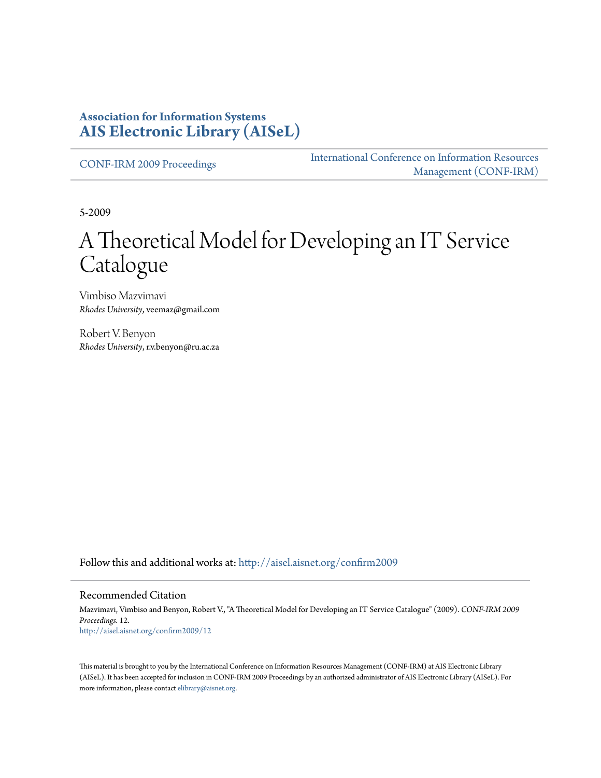### **Association for Information Systems [AIS Electronic Library \(AISeL\)](http://aisel.aisnet.org?utm_source=aisel.aisnet.org%2Fconfirm2009%2F12&utm_medium=PDF&utm_campaign=PDFCoverPages)**

[CONF-IRM 2009 Proceedings](http://aisel.aisnet.org/confirm2009?utm_source=aisel.aisnet.org%2Fconfirm2009%2F12&utm_medium=PDF&utm_campaign=PDFCoverPages)

[International Conference on Information Resources](http://aisel.aisnet.org/conf-irm?utm_source=aisel.aisnet.org%2Fconfirm2009%2F12&utm_medium=PDF&utm_campaign=PDFCoverPages) [Management \(CONF-IRM\)](http://aisel.aisnet.org/conf-irm?utm_source=aisel.aisnet.org%2Fconfirm2009%2F12&utm_medium=PDF&utm_campaign=PDFCoverPages)

5-2009

# A Theoretical Model for Developing an IT Service Catalogue

Vimbiso Mazvimavi *Rhodes University*, veemaz@gmail.com

Robert V. Benyon *Rhodes University*, r.v.benyon@ru.ac.za

Follow this and additional works at: [http://aisel.aisnet.org/confirm2009](http://aisel.aisnet.org/confirm2009?utm_source=aisel.aisnet.org%2Fconfirm2009%2F12&utm_medium=PDF&utm_campaign=PDFCoverPages)

#### Recommended Citation

Mazvimavi, Vimbiso and Benyon, Robert V., "A Theoretical Model for Developing an IT Service Catalogue" (2009). *CONF-IRM 2009 Proceedings*. 12. [http://aisel.aisnet.org/confirm2009/12](http://aisel.aisnet.org/confirm2009/12?utm_source=aisel.aisnet.org%2Fconfirm2009%2F12&utm_medium=PDF&utm_campaign=PDFCoverPages)

This material is brought to you by the International Conference on Information Resources Management (CONF-IRM) at AIS Electronic Library (AISeL). It has been accepted for inclusion in CONF-IRM 2009 Proceedings by an authorized administrator of AIS Electronic Library (AISeL). For more information, please contact [elibrary@aisnet.org.](mailto:elibrary@aisnet.org%3E)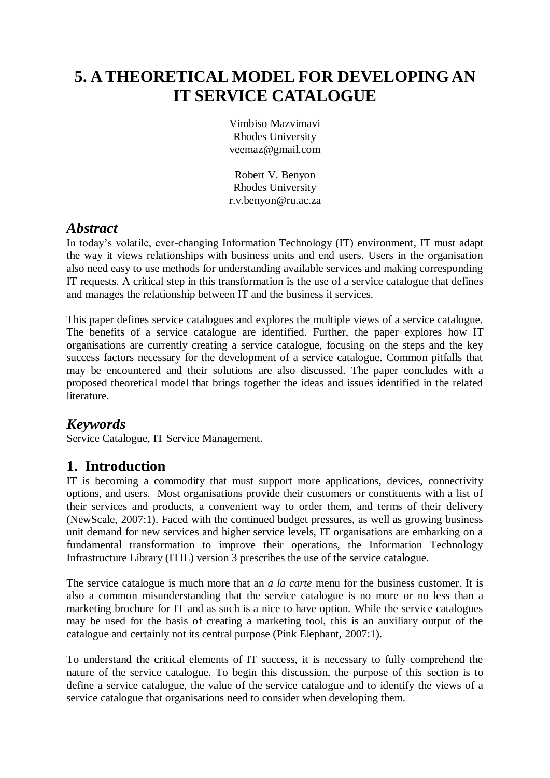# **5. A THEORETICAL MODEL FOR DEVELOPING AN IT SERVICE CATALOGUE**

Vimbiso Mazvimavi Rhodes University veemaz@gmail.com

Robert V. Benyon Rhodes University r.v.benyon@ru.ac.za

# *Abstract*

In today's volatile, ever-changing Information Technology (IT) environment, IT must adapt the way it views relationships with business units and end users. Users in the organisation also need easy to use methods for understanding available services and making corresponding IT requests. A critical step in this transformation is the use of a service catalogue that defines and manages the relationship between IT and the business it services.

This paper defines service catalogues and explores the multiple views of a service catalogue. The benefits of a service catalogue are identified. Further, the paper explores how IT organisations are currently creating a service catalogue, focusing on the steps and the key success factors necessary for the development of a service catalogue. Common pitfalls that may be encountered and their solutions are also discussed. The paper concludes with a proposed theoretical model that brings together the ideas and issues identified in the related literature.

# *Keywords*

Service Catalogue, IT Service Management.

# **1. Introduction**

IT is becoming a commodity that must support more applications, devices, connectivity options, and users. Most organisations provide their customers or constituents with a list of their services and products, a convenient way to order them, and terms of their delivery (NewScale, 2007:1). Faced with the continued budget pressures, as well as growing business unit demand for new services and higher service levels, IT organisations are embarking on a fundamental transformation to improve their operations, the Information Technology Infrastructure Library (ITIL) version 3 prescribes the use of the service catalogue.

The service catalogue is much more that an *a la carte* menu for the business customer. It is also a common misunderstanding that the service catalogue is no more or no less than a marketing brochure for IT and as such is a nice to have option. While the service catalogues may be used for the basis of creating a marketing tool, this is an auxiliary output of the catalogue and certainly not its central purpose (Pink Elephant, 2007:1).

To understand the critical elements of IT success, it is necessary to fully comprehend the nature of the service catalogue. To begin this discussion, the purpose of this section is to define a service catalogue, the value of the service catalogue and to identify the views of a service catalogue that organisations need to consider when developing them.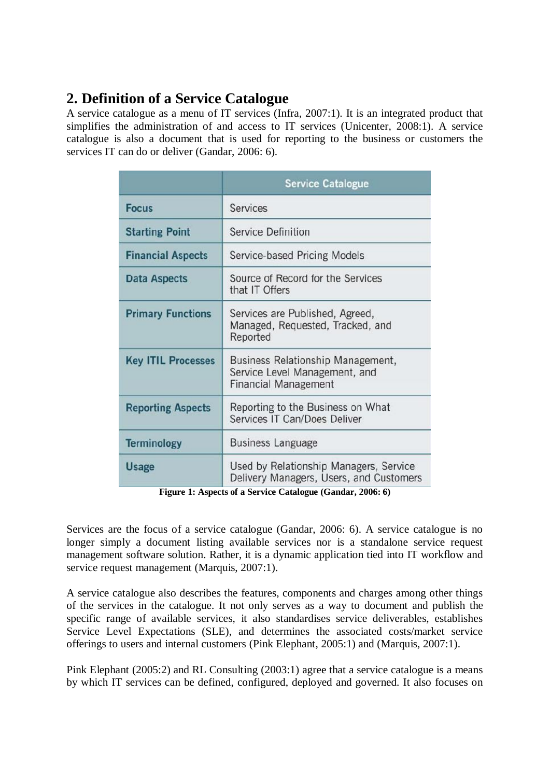# **2. Definition of a Service Catalogue**

A service catalogue as a menu of IT services (Infra, 2007:1). It is an integrated product that simplifies the administration of and access to IT services (Unicenter, 2008:1). A service catalogue is also a document that is used for reporting to the business or customers the services IT can do or deliver (Gandar, 2006: 6).

|                           | <b>Service Catalogue</b>                                                                          |
|---------------------------|---------------------------------------------------------------------------------------------------|
| <b>Focus</b>              | Services                                                                                          |
| <b>Starting Point</b>     | <b>Service Definition</b>                                                                         |
| <b>Financial Aspects</b>  | Service-based Pricing Models                                                                      |
| <b>Data Aspects</b>       | Source of Record for the Services<br>that IT Offers                                               |
| <b>Primary Functions</b>  | Services are Published, Agreed,<br>Managed, Requested, Tracked, and<br>Reported                   |
| <b>Key ITIL Processes</b> | Business Relationship Management,<br>Service Level Management, and<br><b>Financial Management</b> |
| <b>Reporting Aspects</b>  | Reporting to the Business on What<br>Services IT Can/Does Deliver                                 |
| <b>Terminology</b>        | <b>Business Language</b>                                                                          |
| <b>Usage</b>              | Used by Relationship Managers, Service<br>Delivery Managers, Users, and Customers                 |

**Figure 1: Aspects of a Service Catalogue (Gandar, 2006: 6)**

Services are the focus of a service catalogue (Gandar, 2006: 6). A service catalogue is no longer simply a document listing available services nor is a standalone service request management software solution. Rather, it is a dynamic application tied into IT workflow and service request management (Marquis, 2007:1).

A service catalogue also describes the features, components and charges among other things of the services in the catalogue. It not only serves as a way to document and publish the specific range of available services, it also standardises service deliverables, establishes Service Level Expectations (SLE), and determines the associated costs/market service offerings to users and internal customers (Pink Elephant, 2005:1) and (Marquis, 2007:1).

Pink Elephant (2005:2) and RL Consulting (2003:1) agree that a service catalogue is a means by which IT services can be defined, configured, deployed and governed. It also focuses on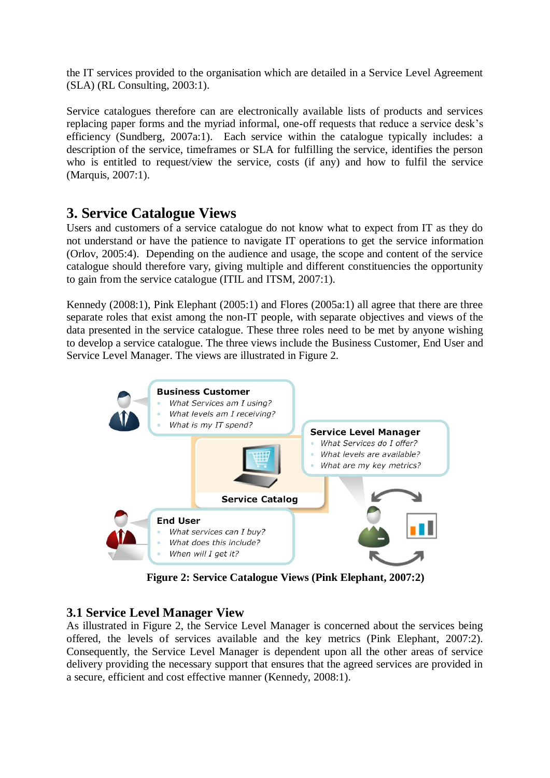the IT services provided to the organisation which are detailed in a Service Level Agreement (SLA) (RL Consulting, 2003:1).

Service catalogues therefore can are electronically available lists of products and services replacing paper forms and the myriad informal, one-off requests that reduce a service desk's efficiency (Sundberg, 2007a:1). Each service within the catalogue typically includes: a description of the service, timeframes or SLA for fulfilling the service, identifies the person who is entitled to request/view the service, costs (if any) and how to fulfil the service (Marquis, 2007:1).

# **3. Service Catalogue Views**

Users and customers of a service catalogue do not know what to expect from IT as they do not understand or have the patience to navigate IT operations to get the service information (Orlov, 2005:4). Depending on the audience and usage, the scope and content of the service catalogue should therefore vary, giving multiple and different constituencies the opportunity to gain from the service catalogue (ITIL and ITSM, 2007:1).

Kennedy (2008:1), Pink Elephant (2005:1) and Flores (2005a:1) all agree that there are three separate roles that exist among the non-IT people, with separate objectives and views of the data presented in the service catalogue. These three roles need to be met by anyone wishing to develop a service catalogue. The three views include the Business Customer, End User and Service Level Manager. The views are illustrated in Figure 2.



**Figure 2: Service Catalogue Views (Pink Elephant, 2007:2)**

### **3.1 Service Level Manager View**

As illustrated in Figure 2, the Service Level Manager is concerned about the services being offered, the levels of services available and the key metrics (Pink Elephant, 2007:2). Consequently, the Service Level Manager is dependent upon all the other areas of service delivery providing the necessary support that ensures that the agreed services are provided in a secure, efficient and cost effective manner (Kennedy, 2008:1).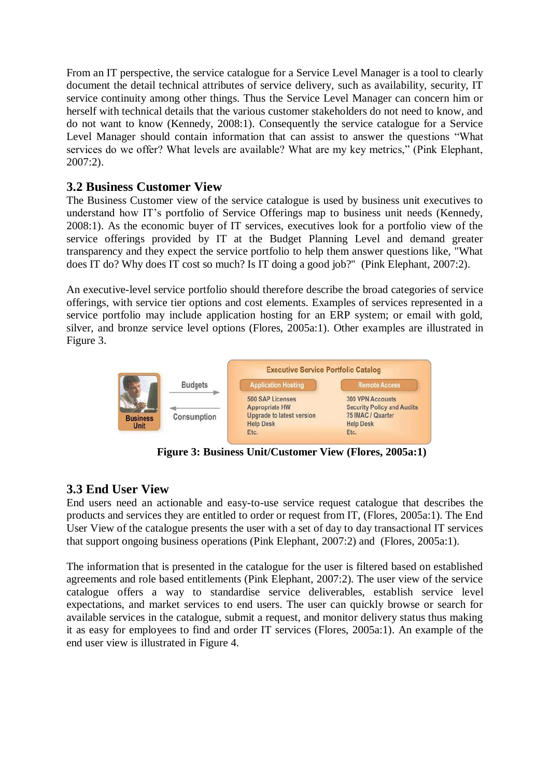From an IT perspective, the service catalogue for a Service Level Manager is a tool to clearly document the detail technical attributes of service delivery, such as availability, security, IT service continuity among other things. Thus the Service Level Manager can concern him or herself with technical details that the various customer stakeholders do not need to know, and do not want to know (Kennedy, 2008:1). Consequently the service catalogue for a Service Level Manager should contain information that can assist to answer the questions "What services do we offer? What levels are available? What are my key metrics," (Pink Elephant, 2007:2).

### **3.2 Business Customer View**

The Business Customer view of the service catalogue is used by business unit executives to understand how IT's portfolio of Service Offerings map to business unit needs (Kennedy, 2008:1). As the economic buyer of IT services, executives look for a portfolio view of the service offerings provided by IT at the Budget Planning Level and demand greater transparency and they expect the service portfolio to help them answer questions like, "What does IT do? Why does IT cost so much? Is IT doing a good job?" (Pink Elephant, 2007:2).

An executive-level service portfolio should therefore describe the broad categories of service offerings, with service tier options and cost elements. Examples of services represented in a service portfolio may include application hosting for an ERP system; or email with gold, silver, and bronze service level options (Flores, 2005a:1). Other examples are illustrated in Figure 3.



**Figure 3: Business Unit/Customer View (Flores, 2005a:1)**

### **3.3 End User View**

End users need an actionable and easy-to-use service request catalogue that describes the products and services they are entitled to order or request from IT, (Flores, 2005a:1). The End User View of the catalogue presents the user with a set of day to day transactional IT services that support ongoing business operations (Pink Elephant, 2007:2) and (Flores, 2005a:1).

The information that is presented in the catalogue for the user is filtered based on established agreements and role based entitlements (Pink Elephant, 2007:2). The user view of the service catalogue offers a way to standardise service deliverables, establish service level expectations, and market services to end users. The user can quickly browse or search for available services in the catalogue, submit a request, and monitor delivery status thus making it as easy for employees to find and order IT services (Flores, 2005a:1). An example of the end user view is illustrated in Figure 4.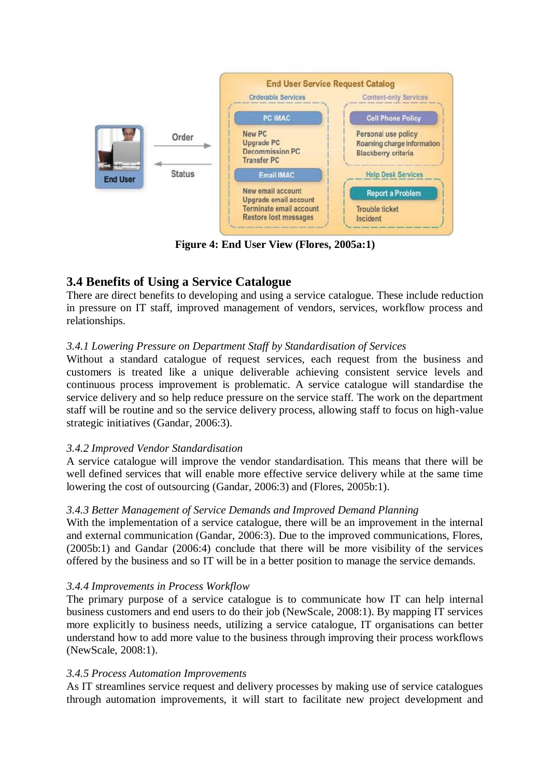

**Figure 4: End User View (Flores, 2005a:1)**

# **3.4 Benefits of Using a Service Catalogue**

There are direct benefits to developing and using a service catalogue. These include reduction in pressure on IT staff, improved management of vendors, services, workflow process and relationships.

### *3.4.1 Lowering Pressure on Department Staff by Standardisation of Services*

Without a standard catalogue of request services, each request from the business and customers is treated like a unique deliverable achieving consistent service levels and continuous process improvement is problematic. A service catalogue will standardise the service delivery and so help reduce pressure on the service staff. The work on the department staff will be routine and so the service delivery process, allowing staff to focus on high-value strategic initiatives (Gandar, 2006:3).

#### *3.4.2 Improved Vendor Standardisation*

A service catalogue will improve the vendor standardisation. This means that there will be well defined services that will enable more effective service delivery while at the same time lowering the cost of outsourcing (Gandar, 2006:3) and (Flores, 2005b:1).

#### *3.4.3 Better Management of Service Demands and Improved Demand Planning*

With the implementation of a service catalogue, there will be an improvement in the internal and external communication (Gandar, 2006:3). Due to the improved communications, Flores, (2005b:1) and Gandar (2006:4) conclude that there will be more visibility of the services offered by the business and so IT will be in a better position to manage the service demands.

#### *3.4.4 Improvements in Process Workflow*

The primary purpose of a service catalogue is to communicate how IT can help internal business customers and end users to do their job (NewScale, 2008:1). By mapping IT services more explicitly to business needs, utilizing a service catalogue, IT organisations can better understand how to add more value to the business through improving their process workflows (NewScale, 2008:1).

#### *3.4.5 Process Automation Improvements*

As IT streamlines service request and delivery processes by making use of service catalogues through automation improvements, it will start to facilitate new project development and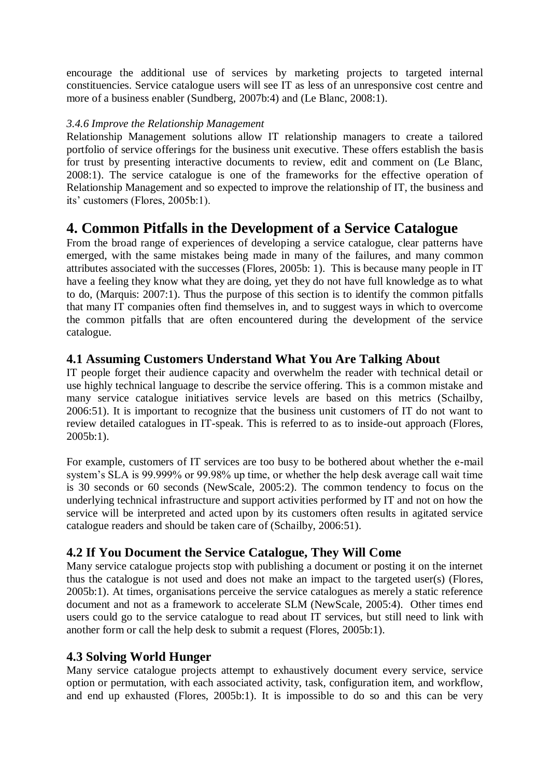encourage the additional use of services by marketing projects to targeted internal constituencies. Service catalogue users will see IT as less of an unresponsive cost centre and more of a business enabler (Sundberg, 2007b:4) and (Le Blanc, 2008:1).

#### *3.4.6 Improve the Relationship Management*

Relationship Management solutions allow IT relationship managers to create a tailored portfolio of service offerings for the business unit executive. These offers establish the basis for trust by presenting interactive documents to review, edit and comment on (Le Blanc, 2008:1). The service catalogue is one of the frameworks for the effective operation of Relationship Management and so expected to improve the relationship of IT, the business and its' customers (Flores, 2005b:1).

# **4. Common Pitfalls in the Development of a Service Catalogue**

From the broad range of experiences of developing a service catalogue, clear patterns have emerged, with the same mistakes being made in many of the failures, and many common attributes associated with the successes (Flores, 2005b: 1). This is because many people in IT have a feeling they know what they are doing, yet they do not have full knowledge as to what to do, (Marquis: 2007:1). Thus the purpose of this section is to identify the common pitfalls that many IT companies often find themselves in, and to suggest ways in which to overcome the common pitfalls that are often encountered during the development of the service catalogue.

### **4.1 Assuming Customers Understand What You Are Talking About**

IT people forget their audience capacity and overwhelm the reader with technical detail or use highly technical language to describe the service offering. This is a common mistake and many service catalogue initiatives service levels are based on this metrics (Schailby, 2006:51). It is important to recognize that the business unit customers of IT do not want to review detailed catalogues in IT-speak. This is referred to as to inside-out approach (Flores, 2005b:1).

For example, customers of IT services are too busy to be bothered about whether the e-mail system's SLA is 99.999% or 99.98% up time, or whether the help desk average call wait time is 30 seconds or 60 seconds (NewScale, 2005:2). The common tendency to focus on the underlying technical infrastructure and support activities performed by IT and not on how the service will be interpreted and acted upon by its customers often results in agitated service catalogue readers and should be taken care of (Schailby, 2006:51).

### **4.2 If You Document the Service Catalogue, They Will Come**

Many service catalogue projects stop with publishing a document or posting it on the internet thus the catalogue is not used and does not make an impact to the targeted user(s) (Flores, 2005b:1). At times, organisations perceive the service catalogues as merely a static reference document and not as a framework to accelerate SLM (NewScale, 2005:4). Other times end users could go to the service catalogue to read about IT services, but still need to link with another form or call the help desk to submit a request (Flores, 2005b:1).

### **4.3 Solving World Hunger**

Many service catalogue projects attempt to exhaustively document every service, service option or permutation, with each associated activity, task, configuration item, and workflow, and end up exhausted (Flores, 2005b:1). It is impossible to do so and this can be very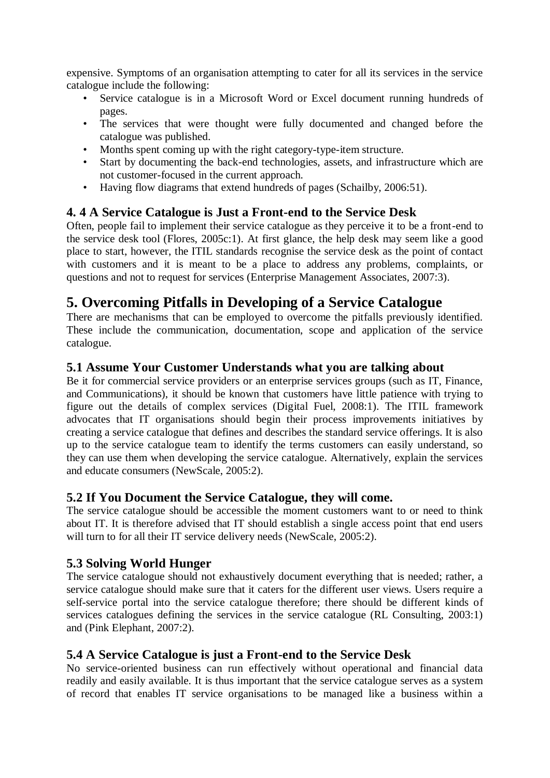expensive. Symptoms of an organisation attempting to cater for all its services in the service catalogue include the following:

- Service catalogue is in a Microsoft Word or Excel document running hundreds of pages.
- The services that were thought were fully documented and changed before the catalogue was published.
- Months spent coming up with the right category-type-item structure.<br>• Start by documenting the back-end technologies, assets, and infrasti
- Start by documenting the back-end technologies, assets, and infrastructure which are not customer-focused in the current approach.
- Having flow diagrams that extend hundreds of pages (Schailby, 2006:51).

### **4. 4 A Service Catalogue is Just a Front-end to the Service Desk**

Often, people fail to implement their service catalogue as they perceive it to be a front-end to the service desk tool (Flores, 2005c:1). At first glance, the help desk may seem like a good place to start, however, the ITIL standards recognise the service desk as the point of contact with customers and it is meant to be a place to address any problems, complaints, or questions and not to request for services (Enterprise Management Associates, 2007:3).

# **5. Overcoming Pitfalls in Developing of a Service Catalogue**

There are mechanisms that can be employed to overcome the pitfalls previously identified. These include the communication, documentation, scope and application of the service catalogue.

#### **5.1 Assume Your Customer Understands what you are talking about**

Be it for commercial service providers or an enterprise services groups (such as IT, Finance, and Communications), it should be known that customers have little patience with trying to figure out the details of complex services (Digital Fuel, 2008:1). The ITIL framework advocates that IT organisations should begin their process improvements initiatives by creating a service catalogue that defines and describes the standard service offerings. It is also up to the service catalogue team to identify the terms customers can easily understand, so they can use them when developing the service catalogue. Alternatively, explain the services and educate consumers (NewScale, 2005:2).

#### **5.2 If You Document the Service Catalogue, they will come.**

The service catalogue should be accessible the moment customers want to or need to think about IT. It is therefore advised that IT should establish a single access point that end users will turn to for all their IT service delivery needs (NewScale, 2005:2).

### **5.3 Solving World Hunger**

The service catalogue should not exhaustively document everything that is needed; rather, a service catalogue should make sure that it caters for the different user views. Users require a self-service portal into the service catalogue therefore; there should be different kinds of services catalogues defining the services in the service catalogue (RL Consulting, 2003:1) and (Pink Elephant, 2007:2).

### **5.4 A Service Catalogue is just a Front-end to the Service Desk**

No service-oriented business can run effectively without operational and financial data readily and easily available. It is thus important that the service catalogue serves as a system of record that enables IT service organisations to be managed like a business within a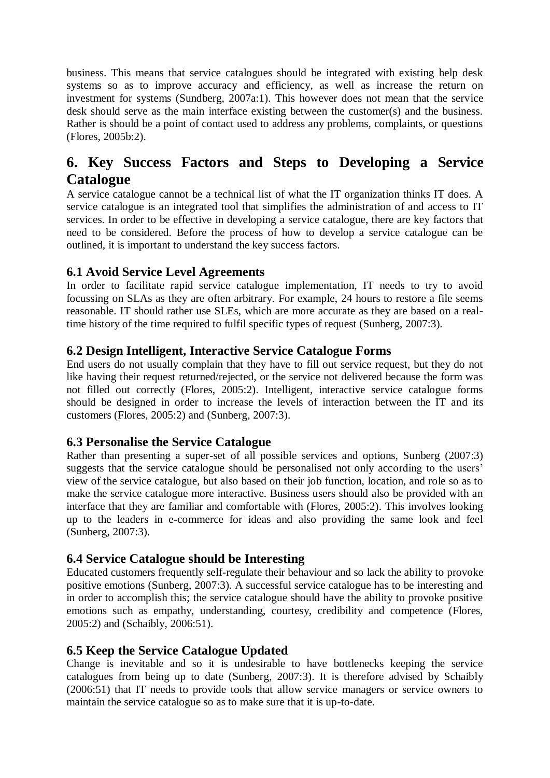business. This means that service catalogues should be integrated with existing help desk systems so as to improve accuracy and efficiency, as well as increase the return on investment for systems (Sundberg, 2007a:1). This however does not mean that the service desk should serve as the main interface existing between the customer(s) and the business. Rather is should be a point of contact used to address any problems, complaints, or questions (Flores, 2005b:2).

# **6. Key Success Factors and Steps to Developing a Service Catalogue**

A service catalogue cannot be a technical list of what the IT organization thinks IT does. A service catalogue is an integrated tool that simplifies the administration of and access to IT services. In order to be effective in developing a service catalogue, there are key factors that need to be considered. Before the process of how to develop a service catalogue can be outlined, it is important to understand the key success factors.

### **6.1 Avoid Service Level Agreements**

In order to facilitate rapid service catalogue implementation, IT needs to try to avoid focussing on SLAs as they are often arbitrary. For example, 24 hours to restore a file seems reasonable. IT should rather use SLEs, which are more accurate as they are based on a realtime history of the time required to fulfil specific types of request (Sunberg, 2007:3).

### **6.2 Design Intelligent, Interactive Service Catalogue Forms**

End users do not usually complain that they have to fill out service request, but they do not like having their request returned/rejected, or the service not delivered because the form was not filled out correctly (Flores, 2005:2). Intelligent, interactive service catalogue forms should be designed in order to increase the levels of interaction between the IT and its customers (Flores, 2005:2) and (Sunberg, 2007:3).

### **6.3 Personalise the Service Catalogue**

Rather than presenting a super-set of all possible services and options, Sunberg (2007:3) suggests that the service catalogue should be personalised not only according to the users' view of the service catalogue, but also based on their job function, location, and role so as to make the service catalogue more interactive. Business users should also be provided with an interface that they are familiar and comfortable with (Flores, 2005:2). This involves looking up to the leaders in e-commerce for ideas and also providing the same look and feel (Sunberg, 2007:3).

### **6.4 Service Catalogue should be Interesting**

Educated customers frequently self-regulate their behaviour and so lack the ability to provoke positive emotions (Sunberg, 2007:3). A successful service catalogue has to be interesting and in order to accomplish this; the service catalogue should have the ability to provoke positive emotions such as empathy, understanding, courtesy, credibility and competence (Flores, 2005:2) and (Schaibly, 2006:51).

#### **6.5 Keep the Service Catalogue Updated**

Change is inevitable and so it is undesirable to have bottlenecks keeping the service catalogues from being up to date (Sunberg, 2007:3). It is therefore advised by Schaibly (2006:51) that IT needs to provide tools that allow service managers or service owners to maintain the service catalogue so as to make sure that it is up-to-date.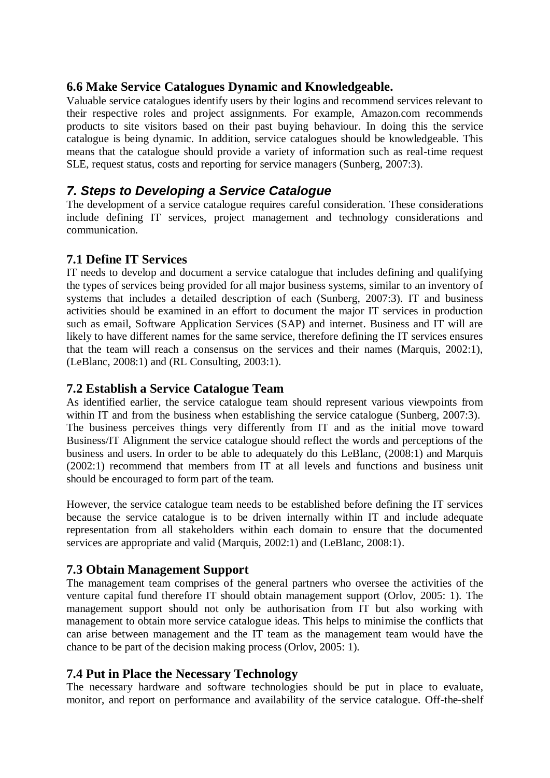#### **6.6 Make Service Catalogues Dynamic and Knowledgeable.**

Valuable service catalogues identify users by their logins and recommend services relevant to their respective roles and project assignments. For example, Amazon.com recommends products to site visitors based on their past buying behaviour. In doing this the service catalogue is being dynamic. In addition, service catalogues should be knowledgeable. This means that the catalogue should provide a variety of information such as real-time request SLE, request status, costs and reporting for service managers (Sunberg, 2007:3).

### *7. Steps to Developing a Service Catalogue*

The development of a service catalogue requires careful consideration. These considerations include defining IT services, project management and technology considerations and communication.

### **7.1 Define IT Services**

IT needs to develop and document a service catalogue that includes defining and qualifying the types of services being provided for all major business systems, similar to an inventory of systems that includes a detailed description of each (Sunberg, 2007:3). IT and business activities should be examined in an effort to document the major IT services in production such as email, Software Application Services (SAP) and internet. Business and IT will are likely to have different names for the same service, therefore defining the IT services ensures that the team will reach a consensus on the services and their names (Marquis, 2002:1), (LeBlanc, 2008:1) and (RL Consulting, 2003:1).

#### **7.2 Establish a Service Catalogue Team**

As identified earlier, the service catalogue team should represent various viewpoints from within IT and from the business when establishing the service catalogue (Sunberg, 2007:3). The business perceives things very differently from IT and as the initial move toward Business/IT Alignment the service catalogue should reflect the words and perceptions of the business and users. In order to be able to adequately do this LeBlanc, (2008:1) and Marquis (2002:1) recommend that members from IT at all levels and functions and business unit should be encouraged to form part of the team.

However, the service catalogue team needs to be established before defining the IT services because the service catalogue is to be driven internally within IT and include adequate representation from all stakeholders within each domain to ensure that the documented services are appropriate and valid (Marquis, 2002:1) and (LeBlanc, 2008:1).

### **7.3 Obtain Management Support**

The management team comprises of the general partners who oversee the activities of the venture capital fund therefore IT should obtain management support (Orlov, 2005: 1). The management support should not only be authorisation from IT but also working with management to obtain more service catalogue ideas. This helps to minimise the conflicts that can arise between management and the IT team as the management team would have the chance to be part of the decision making process (Orlov, 2005: 1).

### **7.4 Put in Place the Necessary Technology**

The necessary hardware and software technologies should be put in place to evaluate, monitor, and report on performance and availability of the service catalogue. Off-the-shelf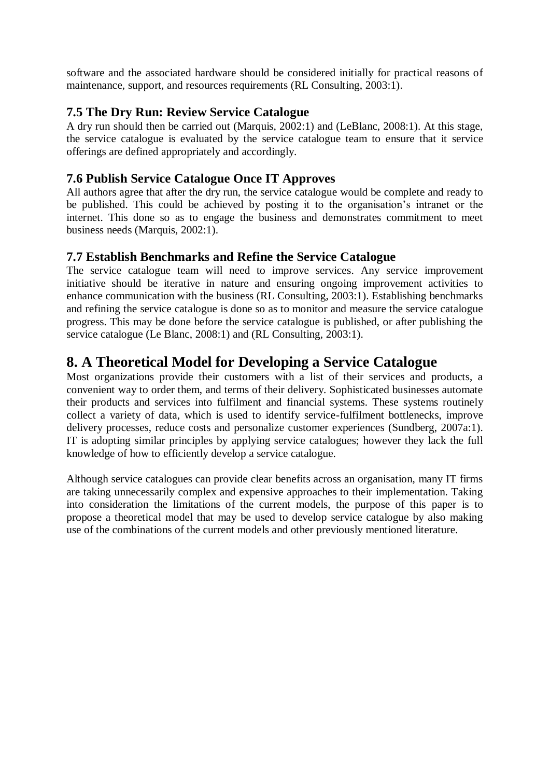software and the associated hardware should be considered initially for practical reasons of maintenance, support, and resources requirements (RL Consulting, 2003:1).

### **7.5 The Dry Run: Review Service Catalogue**

A dry run should then be carried out (Marquis, 2002:1) and (LeBlanc, 2008:1). At this stage, the service catalogue is evaluated by the service catalogue team to ensure that it service offerings are defined appropriately and accordingly.

### **7.6 Publish Service Catalogue Once IT Approves**

All authors agree that after the dry run, the service catalogue would be complete and ready to be published. This could be achieved by posting it to the organisation's intranet or the internet. This done so as to engage the business and demonstrates commitment to meet business needs (Marquis, 2002:1).

#### **7.7 Establish Benchmarks and Refine the Service Catalogue**

The service catalogue team will need to improve services. Any service improvement initiative should be iterative in nature and ensuring ongoing improvement activities to enhance communication with the business (RL Consulting, 2003:1). Establishing benchmarks and refining the service catalogue is done so as to monitor and measure the service catalogue progress. This may be done before the service catalogue is published, or after publishing the service catalogue (Le Blanc, 2008:1) and (RL Consulting, 2003:1).

# **8. A Theoretical Model for Developing a Service Catalogue**

Most organizations provide their customers with a list of their services and products, a convenient way to order them, and terms of their delivery. Sophisticated businesses automate their products and services into fulfilment and financial systems. These systems routinely collect a variety of data, which is used to identify service-fulfilment bottlenecks, improve delivery processes, reduce costs and personalize customer experiences (Sundberg, 2007a:1). IT is adopting similar principles by applying service catalogues; however they lack the full knowledge of how to efficiently develop a service catalogue.

Although service catalogues can provide clear benefits across an organisation, many IT firms are taking unnecessarily complex and expensive approaches to their implementation. Taking into consideration the limitations of the current models, the purpose of this paper is to propose a theoretical model that may be used to develop service catalogue by also making use of the combinations of the current models and other previously mentioned literature.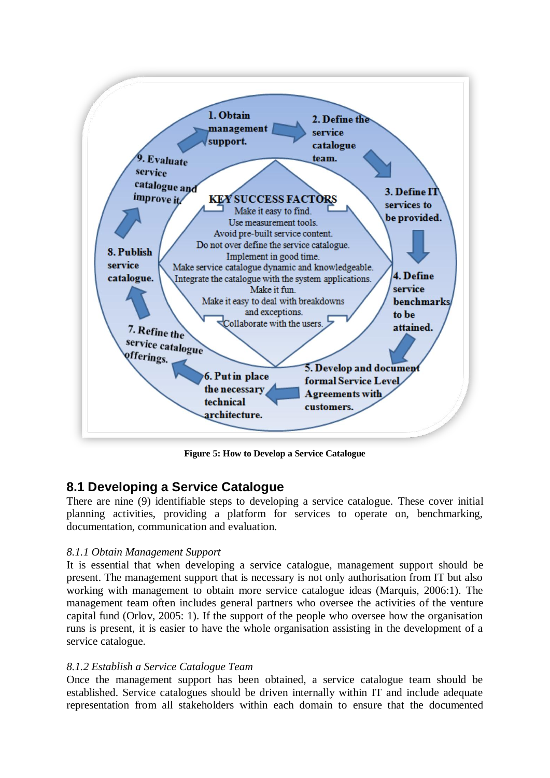

**Figure 5: How to Develop a Service Catalogue**

#### **8.1 Developing a Service Catalogue**

There are nine (9) identifiable steps to developing a service catalogue. These cover initial planning activities, providing a platform for services to operate on, benchmarking, documentation, communication and evaluation.

#### *8.1.1 Obtain Management Support*

It is essential that when developing a service catalogue, management support should be present. The management support that is necessary is not only authorisation from IT but also working with management to obtain more service catalogue ideas (Marquis, 2006:1). The management team often includes general partners who oversee the activities of the venture capital fund (Orlov, 2005: 1). If the support of the people who oversee how the organisation runs is present, it is easier to have the whole organisation assisting in the development of a service catalogue.

#### *8.1.2 Establish a Service Catalogue Team*

Once the management support has been obtained, a service catalogue team should be established. Service catalogues should be driven internally within IT and include adequate representation from all stakeholders within each domain to ensure that the documented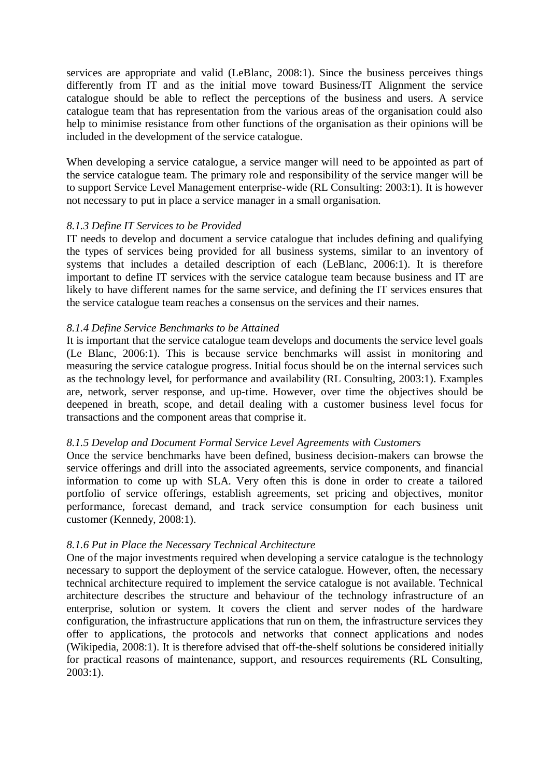services are appropriate and valid (LeBlanc, 2008:1). Since the business perceives things differently from IT and as the initial move toward Business/IT Alignment the service catalogue should be able to reflect the perceptions of the business and users. A service catalogue team that has representation from the various areas of the organisation could also help to minimise resistance from other functions of the organisation as their opinions will be included in the development of the service catalogue.

When developing a service catalogue, a service manger will need to be appointed as part of the service catalogue team. The primary role and responsibility of the service manger will be to support Service Level Management enterprise-wide (RL Consulting: 2003:1). It is however not necessary to put in place a service manager in a small organisation.

#### *8.1.3 Define IT Services to be Provided*

IT needs to develop and document a service catalogue that includes defining and qualifying the types of services being provided for all business systems, similar to an inventory of systems that includes a detailed description of each (LeBlanc, 2006:1). It is therefore important to define IT services with the service catalogue team because business and IT are likely to have different names for the same service, and defining the IT services ensures that the service catalogue team reaches a consensus on the services and their names.

#### *8.1.4 Define Service Benchmarks to be Attained*

It is important that the service catalogue team develops and documents the service level goals (Le Blanc, 2006:1). This is because service benchmarks will assist in monitoring and measuring the service catalogue progress. Initial focus should be on the internal services such as the technology level, for performance and availability (RL Consulting, 2003:1). Examples are, network, server response, and up-time. However, over time the objectives should be deepened in breath, scope, and detail dealing with a customer business level focus for transactions and the component areas that comprise it.

#### *8.1.5 Develop and Document Formal Service Level Agreements with Customers*

Once the service benchmarks have been defined, business decision-makers can browse the service offerings and drill into the associated agreements, service components, and financial information to come up with SLA. Very often this is done in order to create a tailored portfolio of service offerings, establish agreements, set pricing and objectives, monitor performance, forecast demand, and track service consumption for each business unit customer (Kennedy, 2008:1).

#### *8.1.6 Put in Place the Necessary Technical Architecture*

One of the major investments required when developing a service catalogue is the technology necessary to support the deployment of the service catalogue. However, often, the necessary technical architecture required to implement the service catalogue is not available. Technical architecture describes the structure and behaviour of the technology infrastructure of an enterprise, solution or system. It covers the client and server nodes of the hardware configuration, the infrastructure applications that run on them, the infrastructure services they offer to applications, the protocols and networks that connect applications and nodes (Wikipedia, 2008:1). It is therefore advised that off-the-shelf solutions be considered initially for practical reasons of maintenance, support, and resources requirements (RL Consulting, 2003:1).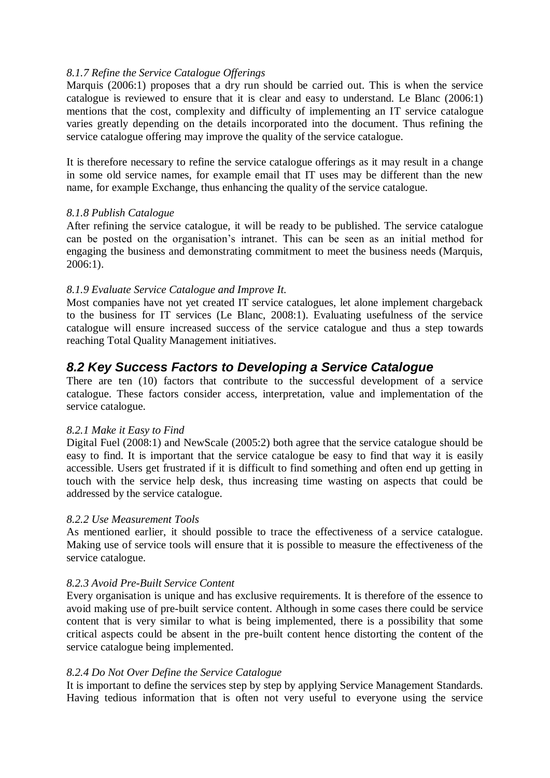#### *8.1.7 Refine the Service Catalogue Offerings*

Marquis (2006:1) proposes that a dry run should be carried out. This is when the service catalogue is reviewed to ensure that it is clear and easy to understand. Le Blanc (2006:1) mentions that the cost, complexity and difficulty of implementing an IT service catalogue varies greatly depending on the details incorporated into the document. Thus refining the service catalogue offering may improve the quality of the service catalogue.

It is therefore necessary to refine the service catalogue offerings as it may result in a change in some old service names, for example email that IT uses may be different than the new name, for example Exchange, thus enhancing the quality of the service catalogue.

#### *8.1.8 Publish Catalogue*

After refining the service catalogue, it will be ready to be published. The service catalogue can be posted on the organisation's intranet. This can be seen as an initial method for engaging the business and demonstrating commitment to meet the business needs (Marquis, 2006:1).

#### *8.1.9 Evaluate Service Catalogue and Improve It.*

Most companies have not yet created IT service catalogues, let alone implement chargeback to the business for IT services (Le Blanc, 2008:1). Evaluating usefulness of the service catalogue will ensure increased success of the service catalogue and thus a step towards reaching Total Quality Management initiatives.

### *8.2 Key Success Factors to Developing a Service Catalogue*

There are ten (10) factors that contribute to the successful development of a service catalogue. These factors consider access, interpretation, value and implementation of the service catalogue.

#### *8.2.1 Make it Easy to Find*

Digital Fuel (2008:1) and NewScale (2005:2) both agree that the service catalogue should be easy to find. It is important that the service catalogue be easy to find that way it is easily accessible. Users get frustrated if it is difficult to find something and often end up getting in touch with the service help desk, thus increasing time wasting on aspects that could be addressed by the service catalogue.

#### *8.2.2 Use Measurement Tools*

As mentioned earlier, it should possible to trace the effectiveness of a service catalogue. Making use of service tools will ensure that it is possible to measure the effectiveness of the service catalogue.

#### *8.2.3 Avoid Pre-Built Service Content*

Every organisation is unique and has exclusive requirements. It is therefore of the essence to avoid making use of pre-built service content. Although in some cases there could be service content that is very similar to what is being implemented, there is a possibility that some critical aspects could be absent in the pre-built content hence distorting the content of the service catalogue being implemented.

#### *8.2.4 Do Not Over Define the Service Catalogue*

It is important to define the services step by step by applying Service Management Standards. Having tedious information that is often not very useful to everyone using the service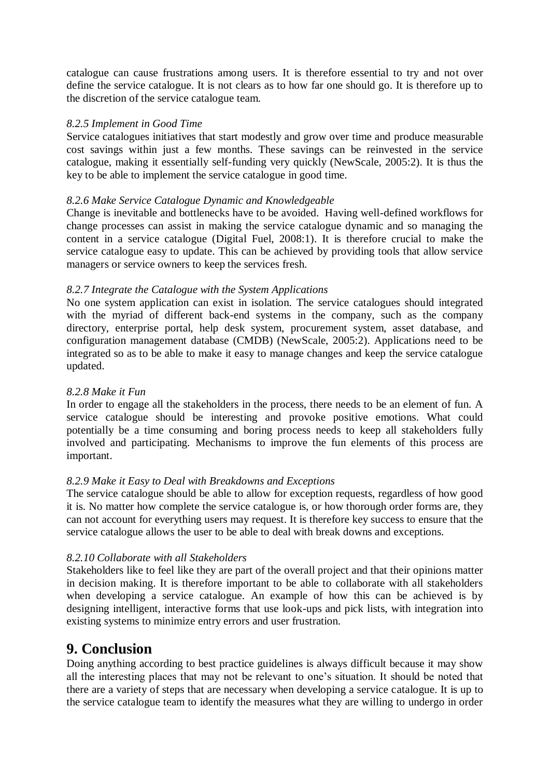catalogue can cause frustrations among users. It is therefore essential to try and not over define the service catalogue. It is not clears as to how far one should go. It is therefore up to the discretion of the service catalogue team.

#### *8.2.5 Implement in Good Time*

Service catalogues initiatives that start modestly and grow over time and produce measurable cost savings within just a few months. These savings can be reinvested in the service catalogue, making it essentially self-funding very quickly (NewScale, 2005:2). It is thus the key to be able to implement the service catalogue in good time.

#### *8.2.6 Make Service Catalogue Dynamic and Knowledgeable*

Change is inevitable and bottlenecks have to be avoided. Having well-defined workflows for change processes can assist in making the service catalogue dynamic and so managing the content in a service catalogue (Digital Fuel, 2008:1). It is therefore crucial to make the service catalogue easy to update. This can be achieved by providing tools that allow service managers or service owners to keep the services fresh.

#### *8.2.7 Integrate the Catalogue with the System Applications*

No one system application can exist in isolation. The service catalogues should integrated with the myriad of different back-end systems in the company, such as the company directory, enterprise portal, help desk system, procurement system, asset database, and configuration management database (CMDB) (NewScale, 2005:2). Applications need to be integrated so as to be able to make it easy to manage changes and keep the service catalogue updated.

#### *8.2.8 Make it Fun*

In order to engage all the stakeholders in the process, there needs to be an element of fun. A service catalogue should be interesting and provoke positive emotions. What could potentially be a time consuming and boring process needs to keep all stakeholders fully involved and participating. Mechanisms to improve the fun elements of this process are important.

#### *8.2.9 Make it Easy to Deal with Breakdowns and Exceptions*

The service catalogue should be able to allow for exception requests, regardless of how good it is. No matter how complete the service catalogue is, or how thorough order forms are, they can not account for everything users may request. It is therefore key success to ensure that the service catalogue allows the user to be able to deal with break downs and exceptions.

#### *8.2.10 Collaborate with all Stakeholders*

Stakeholders like to feel like they are part of the overall project and that their opinions matter in decision making. It is therefore important to be able to collaborate with all stakeholders when developing a service catalogue. An example of how this can be achieved is by designing intelligent, interactive forms that use look-ups and pick lists, with integration into existing systems to minimize entry errors and user frustration.

# **9. Conclusion**

Doing anything according to best practice guidelines is always difficult because it may show all the interesting places that may not be relevant to one's situation. It should be noted that there are a variety of steps that are necessary when developing a service catalogue. It is up to the service catalogue team to identify the measures what they are willing to undergo in order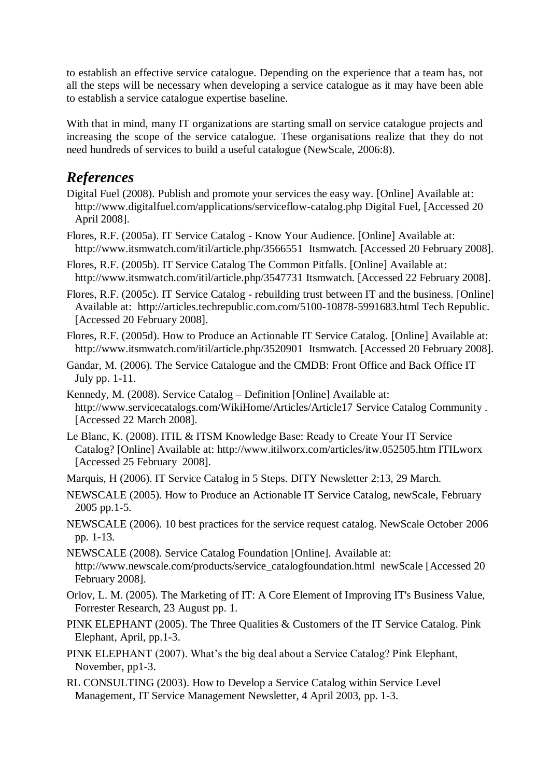to establish an effective service catalogue. Depending on the experience that a team has, not all the steps will be necessary when developing a service catalogue as it may have been able to establish a service catalogue expertise baseline.

With that in mind, many IT organizations are starting small on service catalogue projects and increasing the scope of the service catalogue. These organisations realize that they do not need hundreds of services to build a useful catalogue (NewScale, 2006:8).

# *References*

- Digital Fuel (2008). Publish and promote your services the easy way. [Online] Available at: <http://www.digitalfuel.com/applications/serviceflow-catalog.php> Digital Fuel, [Accessed 20 April 2008].
- Flores, R.F. (2005a). IT Service Catalog Know Your Audience. [Online] Available at: <http://www.itsmwatch.com/itil/article.php/3566551>Itsmwatch. [Accessed 20 February 2008].
- Flores, R.F. (2005b). IT Service Catalog The Common Pitfalls. [Online] Available at: <http://www.itsmwatch.com/itil/article.php/3547731> Itsmwatch. [Accessed 22 February 2008].
- Flores, R.F. (2005c). IT Service Catalog rebuilding trust between IT and the business. [Online] Available at: <http://articles.techrepublic.com.com/5100-10878-5991683.html> Tech Republic. [Accessed 20 February 2008].
- Flores, R.F. (2005d). How to Produce an Actionable IT Service Catalog. [Online] Available at: <http://www.itsmwatch.com/itil/article.php/3520901>Itsmwatch. [Accessed 20 February 2008].
- Gandar, M. (2006). The Service Catalogue and the CMDB: Front Office and Back Office IT July pp. 1-11.
- Kennedy, M. (2008). Service Catalog Definition [Online] Available at: <http://www.servicecatalogs.com/WikiHome/Articles/Article17> Service Catalog Community . [Accessed 22 March 2008].
- Le Blanc, K. (2008). ITIL & ITSM Knowledge Base: Ready to Create Your IT Service Catalog? [Online] Available at:<http://www.itilworx.com/articles/itw.052505.htm> ITILworx [Accessed 25 February 2008].
- Marquis, H (2006). IT Service Catalog in 5 Steps. DITY Newsletter 2:13, 29 March.
- NEWSCALE (2005). How to Produce an Actionable IT Service Catalog, newScale, February 2005 pp.1-5.
- NEWSCALE (2006). 10 best practices for the service request catalog. NewScale October 2006 pp. 1-13.
- NEWSCALE (2008). Service Catalog Foundation [Online]. Available at: [http://www.newscale.com/products/service\\_catalogfoundation.html](http://www.newscale.com/products/service_catalogfoundation.html) newScale [Accessed 20 February 2008].
- Orlov, L. M. (2005). The Marketing of IT: A Core Element of Improving IT's Business Value, Forrester Research, 23 August pp. 1.
- PINK ELEPHANT (2005). The Three Qualities & Customers of the IT Service Catalog. Pink Elephant, April, pp.1-3.
- PINK ELEPHANT (2007). What's the big deal about a Service Catalog? Pink Elephant, November, pp1-3.
- RL CONSULTING (2003). How to Develop a Service Catalog within Service Level Management, IT Service Management Newsletter, 4 April 2003, pp. 1-3.